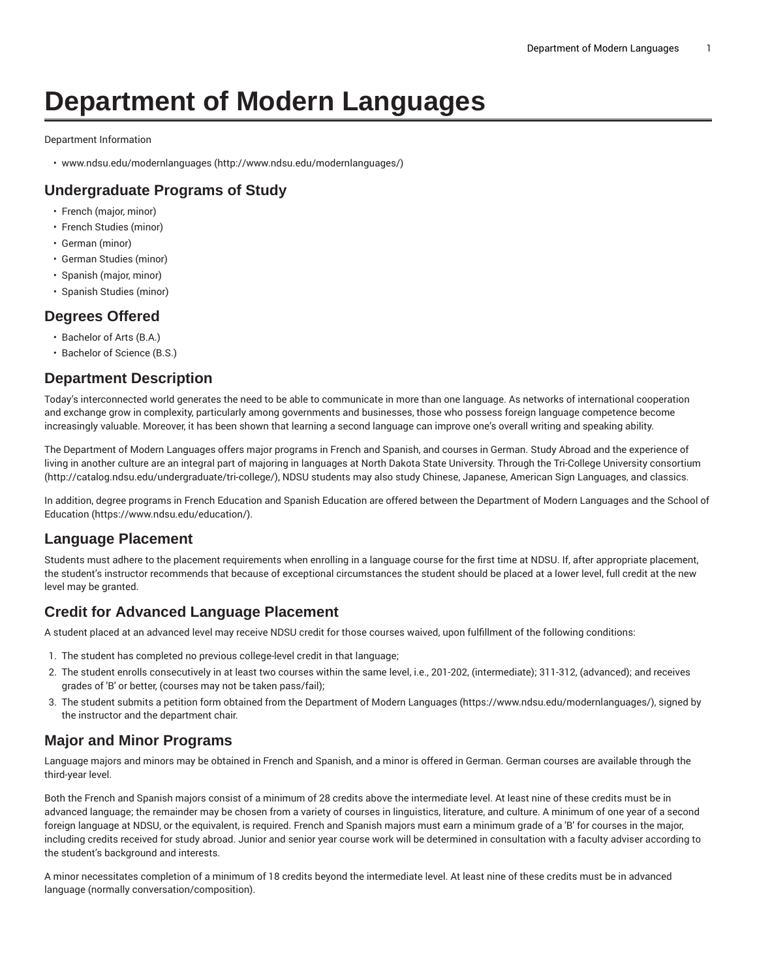# **Department of Modern Languages**

Department Information

• [www.ndsu.edu/modernlanguages](http://www.ndsu.edu/modernlanguages/) ([http://www.ndsu.edu/modernlanguages/\)](http://www.ndsu.edu/modernlanguages/)

# **Undergraduate Programs of Study**

- French (major, minor)
- French Studies (minor)
- German (minor)
- German Studies (minor)
- Spanish (major, minor)
- Spanish Studies (minor)

#### **Degrees Offered**

- Bachelor of Arts (B.A.)
- Bachelor of Science (B.S.)

#### **Department Description**

Today's interconnected world generates the need to be able to communicate in more than one language. As networks of international cooperation and exchange grow in complexity, particularly among governments and businesses, those who possess foreign language competence become increasingly valuable. Moreover, it has been shown that learning a second language can improve one's overall writing and speaking ability.

The Department of Modern Languages offers major programs in French and Spanish, and courses in German. Study Abroad and the experience of living in another culture are an integral part of majoring in languages at North Dakota State University. Through the Tri-College University [consortium](http://catalog.ndsu.edu/undergraduate/tri-college/) (<http://catalog.ndsu.edu/undergraduate/tri-college/>), NDSU students may also study Chinese, Japanese, American Sign Languages, and classics.

In addition, degree programs in French Education and Spanish Education are offered between the Department of Modern Languages and the [School of](https://www.ndsu.edu/education/) [Education](https://www.ndsu.edu/education/) ([https://www.ndsu.edu/education/\)](https://www.ndsu.edu/education/).

## **Language Placement**

Students must adhere to the placement requirements when enrolling in a language course for the first time at NDSU. If, after appropriate placement, the student's instructor recommends that because of exceptional circumstances the student should be placed at a lower level, full credit at the new level may be granted.

## **Credit for Advanced Language Placement**

A student placed at an advanced level may receive NDSU credit for those courses waived, upon fulfillment of the following conditions:

- 1. The student has completed no previous college-level credit in that language;
- 2. The student enrolls consecutively in at least two courses within the same level, i.e., 201-202, (intermediate); 311-312, (advanced); and receives grades of 'B' or better, (courses may not be taken pass/fail);
- 3. The student submits a petition form obtained from the [Department](https://www.ndsu.edu/modernlanguages/) of Modern Languages ([https://www.ndsu.edu/modernlanguages/\)](https://www.ndsu.edu/modernlanguages/), signed by the instructor and the department chair.

## **Major and Minor Programs**

Language majors and minors may be obtained in French and Spanish, and a minor is offered in German. German courses are available through the third-year level.

Both the French and Spanish majors consist of a minimum of 28 credits above the intermediate level. At least nine of these credits must be in advanced language; the remainder may be chosen from a variety of courses in linguistics, literature, and culture. A minimum of one year of a second foreign language at NDSU, or the equivalent, is required. French and Spanish majors must earn a minimum grade of a 'B' for courses in the major, including credits received for study abroad. Junior and senior year course work will be determined in consultation with a faculty adviser according to the student's background and interests.

A minor necessitates completion of a minimum of 18 credits beyond the intermediate level. At least nine of these credits must be in advanced language (normally conversation/composition).